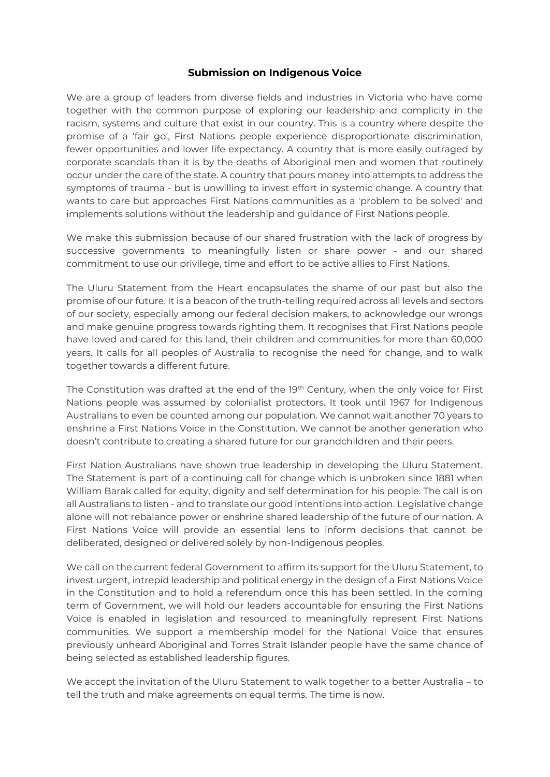## **Submission on Indigenous Voice**

We are a group of leaders from diverse fields and industries in Victoria who have come together with the common purpose of exploring our leadership and complicity in the racism, systems and culture that exist in our country. This is a country where despite the promise of a 'fair go', First Nations people experience disproportionate discrimination, fewer opportunities and lower life expectancy. A country that is more easily outraged by corporate scandals than it is by the deaths of Aboriginal men and women that routinely occur under the care of the state. A country that pours money into attempts to address the symptoms of trauma - but is unwilling to invest effort in systemic change. A country that wants to care but approaches First Nations communities as a 'problem to be solved' and implements solutions without the leadership and guidance of First Nations people.

We make this submission because of our shared frustration with the lack of progress by successive governments to meaningfully listen or share power - and our shared commitment to use our privilege, time and effort to be active allies to First Nations.

The Uluru Statement from the Heart encapsulates the shame of our past but also the promise of our future. It is a beacon of the truth-telling required across all levels and sectors of our society, especially among our federal decision makers, to acknowledge our wrongs and make genuine progress towards righting them. It recognises that First Nations people have loved and cared for this land, their children and communities for more than 60,000 years. It calls for all peoples of Australia to recognise the need for change, and to walk together towards a different future.

The Constitution was drafted at the end of the 19<sup>th</sup> Century, when the only voice for First Nations people was assumed by colonialist protectors. It took until 1967 for Indigenous Australians to even be counted among our population. We cannot wait another 70 years to enshrine a First Nations Voice in the Constitution. We cannot be another generation who doesn't contribute to creating a shared future for our grandchildren and their peers.

First Nation Australians have shown true leadership in developing the Uluru Statement. The Statement is part of a continuing call for change which is unbroken since 1881 when William Barak called for equity, dignity and self determination for his people. The call is on all Australians to listen - and to translate our good intentions into action. Legislative change alone will not rebalance power or enshrine shared leadership of the future of our nation. A First Nations Voice will provide an essential lens to inform decisions that cannot be deliberated, designed or delivered solely by non-Indigenous peoples.

We call on the current federal Government to affirm its support for the Uluru Statement, to invest urgent, intrepid leadership and political energy in the design of a First Nations Voice in the Constitution and to hold a referendum once this has been settled. In the coming term of Government, we will hold our leaders accountable for ensuring the First Nations Voice is enabled in legislation and resourced to meaningfully represent First Nations communities. We support a membership model for the National Voice that ensures previously unheard Aboriginal and Torres Strait Islander people have the same chance of being selected as established leadership figures.

We accept the invitation of the Uluru Statement to walk together to a better Australia – to tell the truth and make agreements on equal terms. The time is now.